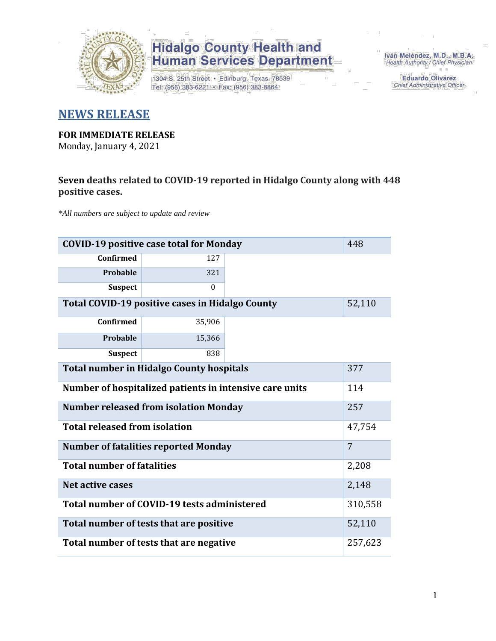

1304 S. 25th Street · Edinburg, Texas 78539 Tel: (956) 383-6221 · Fax: (956) 383-8864

Iván Meléndez, M.D., M.B.A. Health Authority / Chief Physician

> **Eduardo Olivarez** Chief Administrative Officer

#### **NEWS RELEASE**

#### **FOR IMMEDIATE RELEASE**

Monday, January 4, 2021

#### **Seven deaths related to COVID-19 reported in Hidalgo County along with 448 positive cases.**

*\*All numbers are subject to update and review*

| 448<br><b>COVID-19 positive case total for Monday</b>   |                                             |  |        |  |  |  |  |  |  |
|---------------------------------------------------------|---------------------------------------------|--|--------|--|--|--|--|--|--|
| <b>Confirmed</b>                                        | 127                                         |  |        |  |  |  |  |  |  |
| Probable                                                | 321                                         |  |        |  |  |  |  |  |  |
| <b>Suspect</b>                                          | $\theta$                                    |  |        |  |  |  |  |  |  |
| Total COVID-19 positive cases in Hidalgo County         |                                             |  |        |  |  |  |  |  |  |
| <b>Confirmed</b>                                        | 35,906                                      |  |        |  |  |  |  |  |  |
| <b>Probable</b>                                         | 15,366                                      |  |        |  |  |  |  |  |  |
| <b>Suspect</b>                                          | 838                                         |  |        |  |  |  |  |  |  |
| <b>Total number in Hidalgo County hospitals</b><br>377  |                                             |  |        |  |  |  |  |  |  |
| Number of hospitalized patients in intensive care units |                                             |  |        |  |  |  |  |  |  |
| <b>Number released from isolation Monday</b><br>257     |                                             |  |        |  |  |  |  |  |  |
| <b>Total released from isolation</b>                    |                                             |  | 47,754 |  |  |  |  |  |  |
|                                                         | <b>Number of fatalities reported Monday</b> |  | 7      |  |  |  |  |  |  |
| <b>Total number of fatalities</b>                       |                                             |  | 2,208  |  |  |  |  |  |  |
| Net active cases                                        |                                             |  | 2,148  |  |  |  |  |  |  |
| Total number of COVID-19 tests administered             |                                             |  |        |  |  |  |  |  |  |
| Total number of tests that are positive                 |                                             |  |        |  |  |  |  |  |  |
| Total number of tests that are negative                 |                                             |  |        |  |  |  |  |  |  |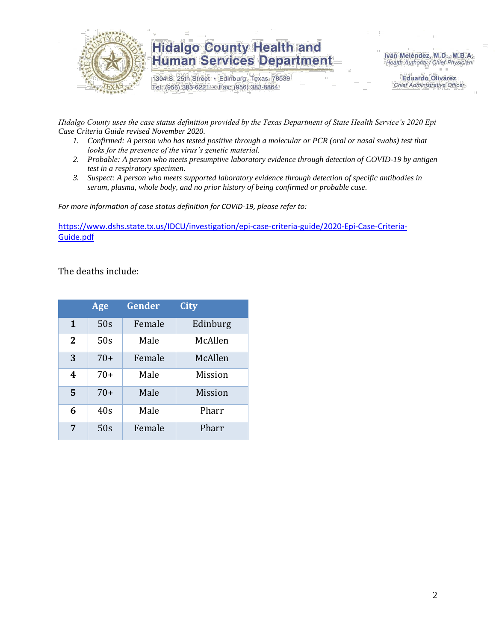

1304 S. 25th Street · Edinburg, Texas 78539 Tel: (956) 383-6221 · Fax: (956) 383-8864

Iván Meléndez, M.D., M.B.A. Health Authority / Chief Physician

> **Eduardo Olivarez** Chief Administrative Officer

*Hidalgo County uses the case status definition provided by the Texas Department of State Health Service's 2020 Epi Case Criteria Guide revised November 2020.*

- *1. Confirmed: A person who has tested positive through a molecular or PCR (oral or nasal swabs) test that looks for the presence of the virus's genetic material.*
- *2. Probable: A person who meets presumptive laboratory evidence through detection of COVID-19 by antigen test in a respiratory specimen.*
- *3. Suspect: A person who meets supported laboratory evidence through detection of specific antibodies in serum, plasma, whole body, and no prior history of being confirmed or probable case.*

*For more information of case status definition for COVID-19, please refer to:*

[https://www.dshs.state.tx.us/IDCU/investigation/epi-case-criteria-guide/2020-Epi-Case-Criteria-](https://www.dshs.state.tx.us/IDCU/investigation/epi-case-criteria-guide/2020-Epi-Case-Criteria-Guide.pdf)[Guide.pdf](https://www.dshs.state.tx.us/IDCU/investigation/epi-case-criteria-guide/2020-Epi-Case-Criteria-Guide.pdf)

The deaths include:

|              | Age   | Gender | City           |
|--------------|-------|--------|----------------|
| $\mathbf{1}$ | 50s   | Female | Edinburg       |
| $\mathbf{2}$ | 50s   | Male   | McAllen        |
| 3            | $70+$ | Female | McAllen        |
| 4            | $70+$ | Male   | Mission        |
| 5            | $70+$ | Male   | <b>Mission</b> |
| 6            | 40s   | Male   | Pharr          |
| 7            | 50s   | Female | Pharr          |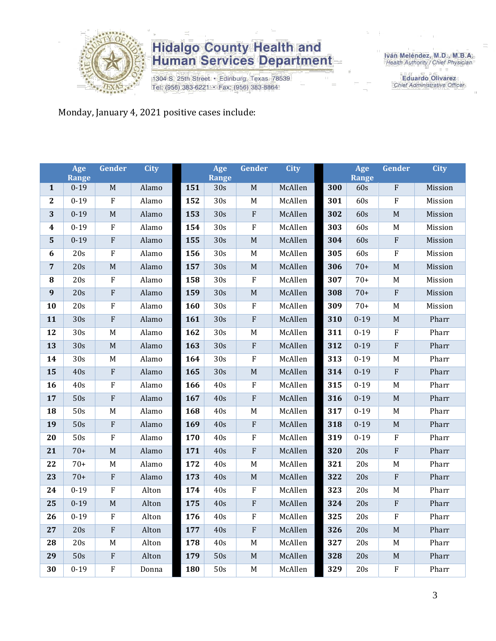

1304 S. 25th Street · Edinburg, Texas 78539 Tel: (956) 383-6221 · Fax: (956) 383-8864

Iván Meléndez, M.D., M.B.A.<br>Health Authority / Chief Physician

**Eduardo Olivarez** Chief Administrative Officer

Monday, January 4, 2021 positive cases include:

|                  | Age<br><b>Range</b> | Gender                  | City  |     | Age<br><b>Range</b> | Gender                  | <b>City</b> |     | Age<br>Range | Gender         | <b>City</b> |
|------------------|---------------------|-------------------------|-------|-----|---------------------|-------------------------|-------------|-----|--------------|----------------|-------------|
| $\mathbf{1}$     | $0 - 19$            | $\mathbf M$             | Alamo | 151 | 30s                 | $\mathbf M$             | McAllen     | 300 | 60s          | $\rm F$        | Mission     |
| $\mathbf{2}$     | $0 - 19$            | ${\bf F}$               | Alamo | 152 | 30s                 | $\mathbf M$             | McAllen     | 301 | 60s          | $\rm F$        | Mission     |
| 3                | $0 - 19$            | $\mathbf M$             | Alamo | 153 | 30s                 | ${\bf F}$               | McAllen     | 302 | 60s          | $\mathbf M$    | Mission     |
| $\boldsymbol{4}$ | $0 - 19$            | ${\bf F}$               | Alamo | 154 | 30s                 | ${\bf F}$               | McAllen     | 303 | 60s          | M              | Mission     |
| ${\bf 5}$        | $0 - 19$            | $\rm F$                 | Alamo | 155 | 30s                 | $\mathbf M$             | McAllen     | 304 | 60s          | $\rm F$        | Mission     |
| 6                | 20s                 | ${\bf F}$               | Alamo | 156 | 30s                 | $\mathbf M$             | McAllen     | 305 | 60s          | $\rm F$        | Mission     |
| $\overline{7}$   | 20s                 | $\mathbf M$             | Alamo | 157 | 30s                 | $\mathbf M$             | McAllen     | 306 | $70+$        | $\mathbf M$    | Mission     |
| ${\bf 8}$        | 20s                 | ${\bf F}$               | Alamo | 158 | 30s                 | $\rm F$                 | McAllen     | 307 | $70+$        | $\mathbf M$    | Mission     |
| $\overline{9}$   | $\overline{20s}$    | $\overline{\mathrm{F}}$ | Alamo | 159 | 30s                 | $\mathbf M$             | McAllen     | 308 | $70+$        | $\rm F$        | Mission     |
| 10               | 20s                 | $\rm F$                 | Alamo | 160 | 30s                 | ${\bf F}$               | McAllen     | 309 | $70+$        | $\mathbf M$    | Mission     |
| 11               | 30s                 | ${\bf F}$               | Alamo | 161 | 30s                 | ${\bf F}$               | McAllen     | 310 | $0 - 19$     | $\mathbf M$    | Pharr       |
| 12               | $\overline{30s}$    | $\mathbf M$             | Alamo | 162 | 30s                 | $\mathbf M$             | McAllen     | 311 | $0 - 19$     | $\rm F$        | Pharr       |
| 13               | 30s                 | M                       | Alamo | 163 | 30s                 | ${\bf F}$               | McAllen     | 312 | $0 - 19$     | $\rm F$        | Pharr       |
| 14               | 30s                 | M                       | Alamo | 164 | 30s                 | $\rm F$                 | McAllen     | 313 | $0 - 19$     | $\mathbf M$    | Pharr       |
| 15               | 40s                 | $\overline{\mathrm{F}}$ | Alamo | 165 | 30s                 | $\mathbf M$             | McAllen     | 314 | $0 - 19$     | $\overline{F}$ | Pharr       |
| 16               | 40s                 | $\rm F$                 | Alamo | 166 | 40s                 | $\rm F$                 | McAllen     | 315 | $0 - 19$     | $\mathbf M$    | Pharr       |
| 17               | 50s                 | ${\bf F}$               | Alamo | 167 | 40s                 | $\overline{\mathrm{F}}$ | McAllen     | 316 | $0 - 19$     | M              | Pharr       |
| 18               | 50s                 | M                       | Alamo | 168 | 40s                 | $\mathbf M$             | McAllen     | 317 | $0 - 19$     | $\mathbf M$    | Pharr       |
| 19               | 50s                 | ${\bf F}$               | Alamo | 169 | 40s                 | ${\bf F}$               | McAllen     | 318 | $0 - 19$     | $\mathbf M$    | Pharr       |
| 20               | 50s                 | ${\bf F}$               | Alamo | 170 | 40s                 | ${\bf F}$               | McAllen     | 319 | $0 - 19$     | $\rm F$        | Pharr       |
| 21               | $70+$               | $\mathbf M$             | Alamo | 171 | 40s                 | ${\bf F}$               | McAllen     | 320 | 20s          | $\rm F$        | Pharr       |
| 22               | $70+$               | $\mathbf M$             | Alamo | 172 | 40s                 | $\mathbf M$             | McAllen     | 321 | 20s          | $\mathbf M$    | Pharr       |
| 23               | $70+$               | $\mathbf{F}$            | Alamo | 173 | 40s                 | $\mathbf M$             | McAllen     | 322 | 20s          | $\overline{F}$ | Pharr       |
| 24               | $0 - 19$            | ${\bf F}$               | Alton | 174 | 40s                 | $\rm F$                 | McAllen     | 323 | 20s          | $\mathbf M$    | Pharr       |
| 25               | $0 - 19$            | $\mathbf M$             | Alton | 175 | 40s                 | ${\bf F}$               | McAllen     | 324 | 20s          | $\rm F$        | Pharr       |
| 26               | $0 - 19$            | ${\bf F}$               | Alton | 176 | 40s                 | ${\bf F}$               | McAllen     | 325 | 20s          | $\rm F$        | Pharr       |
| 27               | 20s                 | $\rm F$                 | Alton | 177 | 40s                 | ${\bf F}$               | McAllen     | 326 | 20s          | $\mathbf M$    | Pharr       |
| 28               | 20s                 | M                       | Alton | 178 | 40s                 | M                       | McAllen     | 327 | 20s          | M              | Pharr       |
| 29               | 50s                 | $\rm F$                 | Alton | 179 | 50s                 | $\mathbf M$             | McAllen     | 328 | 20s          | $\mathbf M$    | Pharr       |
| 30               | $0 - 19$            | $\rm F$                 | Donna | 180 | 50s                 | $\mathbf M$             | McAllen     | 329 | 20s          | ${\bf F}$      | Pharr       |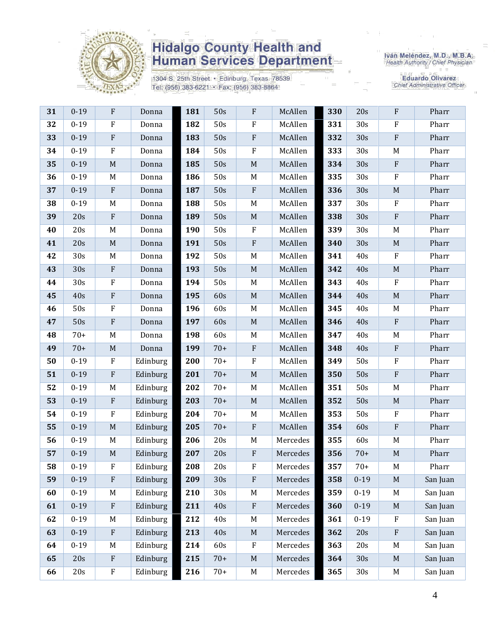

1304 S. 25th Street · Edinburg, Texas 78539 Tel: (956) 383-6221 · Fax: (956) 383-8864

Iván Meléndez, M.D., M.B.A.<br>Health Authority / Chief Physician

**Eduardo Olivarez** Chief Administrative Officer

| 31 | $0 - 19$ | F                         | Donna    | 181 | 50s   | $\mathbf{F}$              | McAllen  | 330 | 20s      | $\rm F$      | Pharr    |
|----|----------|---------------------------|----------|-----|-------|---------------------------|----------|-----|----------|--------------|----------|
| 32 | $0 - 19$ | $\rm F$                   | Donna    | 182 | 50s   | ${\bf F}$                 | McAllen  | 331 | 30s      | $\mathbf{F}$ | Pharr    |
| 33 | $0 - 19$ | $\rm F$                   | Donna    | 183 | 50s   | ${\bf F}$                 | McAllen  | 332 | 30s      | $\rm F$      | Pharr    |
| 34 | $0 - 19$ | $\rm F$                   | Donna    | 184 | 50s   | ${\bf F}$                 | McAllen  | 333 | 30s      | M            | Pharr    |
| 35 | $0 - 19$ | $\mathbf M$               | Donna    | 185 | 50s   | $\mathbf M$               | McAllen  | 334 | 30s      | $\rm F$      | Pharr    |
| 36 | $0 - 19$ | M                         | Donna    | 186 | 50s   | M                         | McAllen  | 335 | 30s      | $\rm F$      | Pharr    |
| 37 | $0 - 19$ | $\boldsymbol{\mathrm{F}}$ | Donna    | 187 | 50s   | $\boldsymbol{\mathrm{F}}$ | McAllen  | 336 | 30s      | $\mathbf M$  | Pharr    |
| 38 | $0 - 19$ | M                         | Donna    | 188 | 50s   | $\mathbf M$               | McAllen  | 337 | 30s      | $\rm F$      | Pharr    |
| 39 | 20s      | $\boldsymbol{\mathrm{F}}$ | Donna    | 189 | 50s   | $\mathbf M$               | McAllen  | 338 | 30s      | $\rm F$      | Pharr    |
| 40 | 20s      | M                         | Donna    | 190 | 50s   | ${\bf F}$                 | McAllen  | 339 | 30s      | M            | Pharr    |
| 41 | 20s      | M                         | Donna    | 191 | 50s   | ${\bf F}$                 | McAllen  | 340 | 30s      | $\mathbf M$  | Pharr    |
| 42 | 30s      | M                         | Donna    | 192 | 50s   | $\mathbf M$               | McAllen  | 341 | 40s      | $\rm F$      | Pharr    |
| 43 | 30s      | $\boldsymbol{\mathrm{F}}$ | Donna    | 193 | 50s   | $\mathbf M$               | McAllen  | 342 | 40s      | $\mathbf M$  | Pharr    |
| 44 | 30s      | $\mathbf F$               | Donna    | 194 | 50s   | M                         | McAllen  | 343 | 40s      | $\rm F$      | Pharr    |
| 45 | 40s      | ${\bf F}$                 | Donna    | 195 | 60s   | $\mathbf M$               | McAllen  | 344 | 40s      | $\mathbf M$  | Pharr    |
| 46 | 50s      | ${\bf F}$                 | Donna    | 196 | 60s   | M                         | McAllen  | 345 | 40s      | M            | Pharr    |
| 47 | 50s      | $\rm F$                   | Donna    | 197 | 60s   | $\mathbf M$               | McAllen  | 346 | 40s      | $\rm F$      | Pharr    |
| 48 | $70+$    | M                         | Donna    | 198 | 60s   | M                         | McAllen  | 347 | 40s      | M            | Pharr    |
| 49 | $70+$    | $\mathbf M$               | Donna    | 199 | $70+$ | ${\bf F}$                 | McAllen  | 348 | 40s      | $\rm F$      | Pharr    |
| 50 | $0 - 19$ | ${\bf F}$                 | Edinburg | 200 | $70+$ | ${\bf F}$                 | McAllen  | 349 | 50s      | $\rm F$      | Pharr    |
| 51 | $0 - 19$ | $\rm F$                   | Edinburg | 201 | $70+$ | $\mathbf M$               | McAllen  | 350 | 50s      | $\rm F$      | Pharr    |
| 52 | $0 - 19$ | M                         | Edinburg | 202 | $70+$ | $\mathbf M$               | McAllen  | 351 | 50s      | M            | Pharr    |
| 53 | $0 - 19$ | $\boldsymbol{\mathrm{F}}$ | Edinburg | 203 | $70+$ | $\mathbf M$               | McAllen  | 352 | 50s      | $\mathbf M$  | Pharr    |
| 54 | $0 - 19$ | $\mathbf F$               | Edinburg | 204 | $70+$ | M                         | McAllen  | 353 | 50s      | $\rm F$      | Pharr    |
| 55 | $0 - 19$ | $\mathbf M$               | Edinburg | 205 | $70+$ | ${\bf F}$                 | McAllen  | 354 | 60s      | $\rm F$      | Pharr    |
| 56 | $0 - 19$ | M                         | Edinburg | 206 | 20s   | M                         | Mercedes | 355 | 60s      | M            | Pharr    |
| 57 | $0 - 19$ | $\mathbf M$               | Edinburg | 207 | 20s   | ${\bf F}$                 | Mercedes | 356 | $70+$    | $\mathbf M$  | Pharr    |
| 58 | $0 - 19$ | F                         | Edinburg | 208 | 20s   | F                         | Mercedes | 357 | $70+$    | M            | Pharr    |
| 59 | $0 - 19$ | ${\bf F}$                 | Edinburg | 209 | 30s   | ${\bf F}$                 | Mercedes | 358 | $0 - 19$ | M            | San Juan |
| 60 | $0 - 19$ | M                         | Edinburg | 210 | 30s   | M                         | Mercedes | 359 | $0 - 19$ | M            | San Juan |
| 61 | $0 - 19$ | $\boldsymbol{\mathrm{F}}$ | Edinburg | 211 | 40s   | ${\bf F}$                 | Mercedes | 360 | $0 - 19$ | $\mathbf M$  | San Juan |
| 62 | $0 - 19$ | M                         | Edinburg | 212 | 40s   | $\mathbf M$               | Mercedes | 361 | $0 - 19$ | F            | San Juan |
| 63 | $0 - 19$ | $\boldsymbol{\mathrm{F}}$ | Edinburg | 213 | 40s   | $\mathbf M$               | Mercedes | 362 | 20s      | $\rm F$      | San Juan |
| 64 | $0 - 19$ | M                         | Edinburg | 214 | 60s   | ${\bf F}$                 | Mercedes | 363 | 20s      | M            | San Juan |
| 65 | 20s      | $\boldsymbol{\mathrm{F}}$ | Edinburg | 215 | $70+$ | $\mathbf M$               | Mercedes | 364 | 30s      | $M_{\odot}$  | San Juan |
| 66 | 20s      | ${\bf F}$                 | Edinburg | 216 | $70+$ | $\mathbf M$               | Mercedes | 365 | 30s      | M            | San Juan |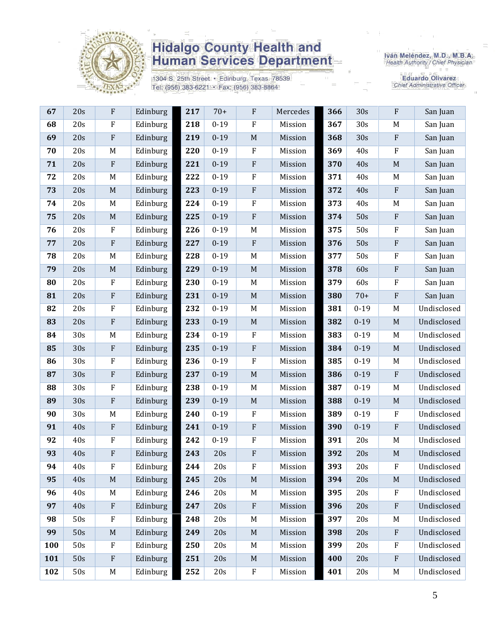

1304 S. 25th Street · Edinburg, Texas 78539 Tel: (956) 383-6221 · Fax: (956) 383-8864

Iván Meléndez, M.D., M.B.A.<br>Health Authority / Chief Physician

**Eduardo Olivarez** Chief Administrative Officer

| 67  | 20s | ${\bf F}$                 | Edinburg | 217 | $70+$    | ${\bf F}$   | Mercedes | 366 | 30s      | ${\bf F}$   | San Juan    |
|-----|-----|---------------------------|----------|-----|----------|-------------|----------|-----|----------|-------------|-------------|
| 68  | 20s | $\rm F$                   | Edinburg | 218 | $0 - 19$ | ${\bf F}$   | Mission  | 367 | 30s      | M           | San Juan    |
| 69  | 20s | $\rm F$                   | Edinburg | 219 | $0 - 19$ | $\mathbf M$ | Mission  | 368 | 30s      | ${\bf F}$   | San Juan    |
| 70  | 20s | M                         | Edinburg | 220 | $0 - 19$ | $\rm F$     | Mission  | 369 | 40s      | $\rm F$     | San Juan    |
| 71  | 20s | $\rm F$                   | Edinburg | 221 | $0 - 19$ | ${\bf F}$   | Mission  | 370 | 40s      | $\mathbf M$ | San Juan    |
| 72  | 20s | M                         | Edinburg | 222 | $0 - 19$ | ${\bf F}$   | Mission  | 371 | 40s      | M           | San Juan    |
| 73  | 20s | $\mathbf M$               | Edinburg | 223 | $0 - 19$ | $\rm F$     | Mission  | 372 | 40s      | ${\bf F}$   | San Juan    |
| 74  | 20s | M                         | Edinburg | 224 | $0 - 19$ | ${\bf F}$   | Mission  | 373 | 40s      | M           | San Juan    |
| 75  | 20s | $\mathbf M$               | Edinburg | 225 | $0 - 19$ | $\rm F$     | Mission  | 374 | 50s      | ${\bf F}$   | San Juan    |
| 76  | 20s | $\rm F$                   | Edinburg | 226 | $0 - 19$ | M           | Mission  | 375 | 50s      | $\rm F$     | San Juan    |
| 77  | 20s | ${\bf F}$                 | Edinburg | 227 | $0 - 19$ | $\rm F$     | Mission  | 376 | 50s      | ${\bf F}$   | San Juan    |
| 78  | 20s | M                         | Edinburg | 228 | $0 - 19$ | $\mathbf M$ | Mission  | 377 | 50s      | $\rm F$     | San Juan    |
| 79  | 20s | $\mathbf M$               | Edinburg | 229 | $0 - 19$ | $\mathbf M$ | Mission  | 378 | 60s      | ${\bf F}$   | San Juan    |
| 80  | 20s | $\rm F$                   | Edinburg | 230 | $0 - 19$ | $M_{\rm}$   | Mission  | 379 | 60s      | ${\bf F}$   | San Juan    |
| 81  | 20s | ${\bf F}$                 | Edinburg | 231 | $0 - 19$ | $\mathbf M$ | Mission  | 380 | $70+$    | $\rm F$     | San Juan    |
| 82  | 20s | $\rm F$                   | Edinburg | 232 | $0 - 19$ | $\mathbf M$ | Mission  | 381 | $0 - 19$ | M           | Undisclosed |
| 83  | 20s | ${\bf F}$                 | Edinburg | 233 | $0 - 19$ | $\mathbf M$ | Mission  | 382 | $0 - 19$ | $\mathbf M$ | Undisclosed |
| 84  | 30s | $\mathbf M$               | Edinburg | 234 | $0 - 19$ | ${\bf F}$   | Mission  | 383 | $0 - 19$ | $\mathbf M$ | Undisclosed |
| 85  | 30s | $\rm F$                   | Edinburg | 235 | $0 - 19$ | ${\bf F}$   | Mission  | 384 | $0 - 19$ | $\mathbf M$ | Undisclosed |
| 86  | 30s | $\rm F$                   | Edinburg | 236 | $0 - 19$ | $\rm F$     | Mission  | 385 | $0 - 19$ | M           | Undisclosed |
| 87  | 30s | $\rm F$                   | Edinburg | 237 | $0 - 19$ | $\mathbf M$ | Mission  | 386 | $0 - 19$ | ${\bf F}$   | Undisclosed |
| 88  | 30s | ${\bf F}$                 | Edinburg | 238 | $0 - 19$ | $M_{\rm}$   | Mission  | 387 | $0 - 19$ | M           | Undisclosed |
| 89  | 30s | ${\bf F}$                 | Edinburg | 239 | $0 - 19$ | $\mathbf M$ | Mission  | 388 | $0 - 19$ | $\mathbf M$ | Undisclosed |
| 90  | 30s | M                         | Edinburg | 240 | $0 - 19$ | $\rm F$     | Mission  | 389 | $0 - 19$ | $\rm F$     | Undisclosed |
| 91  | 40s | $\rm F$                   | Edinburg | 241 | $0 - 19$ | ${\bf F}$   | Mission  | 390 | $0 - 19$ | ${\bf F}$   | Undisclosed |
| 92  | 40s | $\rm F$                   | Edinburg | 242 | $0 - 19$ | $\rm F$     | Mission  | 391 | 20s      | M           | Undisclosed |
| 93  | 40s | $\rm F$                   | Edinburg | 243 | 20s      | $\rm F$     | Mission  | 392 | 20s      | $\mathbf M$ | Undisclosed |
| 94  | 40s | $\boldsymbol{\mathrm{F}}$ | Edinburg | 244 | 20s      | ${\bf F}$   | Mission  | 393 | 20s      | ${\bf F}$   | Undisclosed |
| 95  | 40s | $\mathbf M$               | Edinburg | 245 | 20s      | $\mathbf M$ | Mission  | 394 | 20s      | M           | Undisclosed |
| 96  | 40s | M                         | Edinburg | 246 | 20s      | $M_{\rm}$   | Mission  | 395 | 20s      | $\rm F$     | Undisclosed |
| 97  | 40s | $\rm F$                   | Edinburg | 247 | 20s      | $\,$ F      | Mission  | 396 | 20s      | ${\bf F}$   | Undisclosed |
| 98  | 50s | $\rm F$                   | Edinburg | 248 | 20s      | $\mathbf M$ | Mission  | 397 | 20s      | M           | Undisclosed |
| 99  | 50s | $\mathbf M$               | Edinburg | 249 | 20s      | $\mathbf M$ | Mission  | 398 | 20s      | ${\bf F}$   | Undisclosed |
| 100 | 50s | F                         | Edinburg | 250 | 20s      | M           | Mission  | 399 | 20s      | F           | Undisclosed |
| 101 | 50s | ${\bf F}$                 | Edinburg | 251 | 20s      | $\mathbf M$ | Mission  | 400 | 20s      | ${\bf F}$   | Undisclosed |
| 102 | 50s | $\mathbf M$               | Edinburg | 252 | 20s      | ${\bf F}$   | Mission  | 401 | 20s      | $\mathbf M$ | Undisclosed |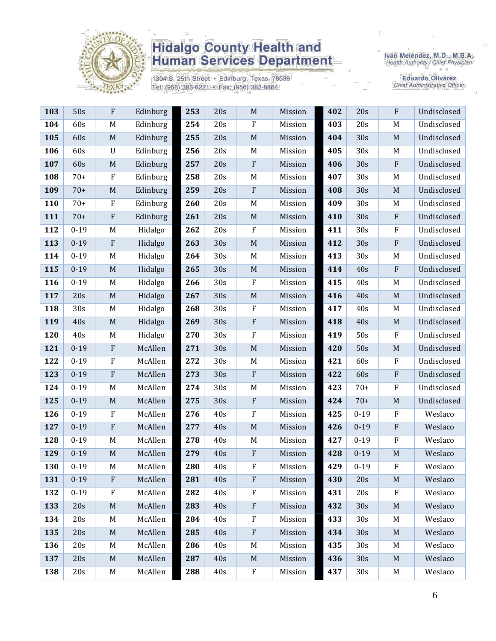

1304 S. 25th Street · Edinburg, Texas 78539 Tel: (956) 383-6221 · Fax: (956) 383-8864

Iván Meléndez, M.D., M.B.A.<br>Health Authority / Chief Physician

**Eduardo Olivarez** Chief Administrative Officer

| 103 | 50s      | F                         | Edinburg | 253 | 20s | M            | Mission | 402 | 20s      | ${\bf F}$                 | Undisclosed |
|-----|----------|---------------------------|----------|-----|-----|--------------|---------|-----|----------|---------------------------|-------------|
| 104 | 60s      | M                         | Edinburg | 254 | 20s | $\rm F$      | Mission | 403 | 20s      | M                         | Undisclosed |
| 105 | 60s      | $\mathbf M$               | Edinburg | 255 | 20s | $\mathbf M$  | Mission | 404 | 30s      | $\mathbf M$               | Undisclosed |
| 106 | 60s      | $\mathbf U$               | Edinburg | 256 | 20s | M            | Mission | 405 | 30s      | M                         | Undisclosed |
| 107 | 60s      | $\mathbf M$               | Edinburg | 257 | 20s | $\rm F$      | Mission | 406 | 30s      | ${\bf F}$                 | Undisclosed |
| 108 | $70+$    | ${\bf F}$                 | Edinburg | 258 | 20s | M            | Mission | 407 | 30s      | M                         | Undisclosed |
| 109 | $70+$    | $\mathbf M$               | Edinburg | 259 | 20s | $\mathbf{F}$ | Mission | 408 | 30s      | $\mathbf M$               | Undisclosed |
| 110 | $70+$    | ${\bf F}$                 | Edinburg | 260 | 20s | M            | Mission | 409 | 30s      | $M_{\odot}$               | Undisclosed |
| 111 | $70+$    | $\boldsymbol{\mathrm{F}}$ | Edinburg | 261 | 20s | $\mathbf M$  | Mission | 410 | 30s      | $\rm F$                   | Undisclosed |
| 112 | $0 - 19$ | M                         | Hidalgo  | 262 | 20s | $\rm F$      | Mission | 411 | 30s      | $\rm F$                   | Undisclosed |
| 113 | $0 - 19$ | ${\bf F}$                 | Hidalgo  | 263 | 30s | M            | Mission | 412 | 30s      | ${\bf F}$                 | Undisclosed |
| 114 | $0 - 19$ | M                         | Hidalgo  | 264 | 30s | M            | Mission | 413 | 30s      | M                         | Undisclosed |
| 115 | $0 - 19$ | $\mathbf M$               | Hidalgo  | 265 | 30s | $\mathbf M$  | Mission | 414 | 40s      | $\mathbf{F}$              | Undisclosed |
| 116 | $0 - 19$ | M                         | Hidalgo  | 266 | 30s | $\rm F$      | Mission | 415 | 40s      | M                         | Undisclosed |
| 117 | 20s      | $\mathbf M$               | Hidalgo  | 267 | 30s | $\mathbf M$  | Mission | 416 | 40s      | $\mathbf M$               | Undisclosed |
| 118 | 30s      | M                         | Hidalgo  | 268 | 30s | $\rm F$      | Mission | 417 | 40s      | M                         | Undisclosed |
| 119 | 40s      | $\mathbf M$               | Hidalgo  | 269 | 30s | $\rm F$      | Mission | 418 | 40s      | M                         | Undisclosed |
| 120 | 40s      | M                         | Hidalgo  | 270 | 30s | ${\bf F}$    | Mission | 419 | 50s      | $\rm F$                   | Undisclosed |
| 121 | $0 - 19$ | ${\bf F}$                 | McAllen  | 271 | 30s | $\mathbf M$  | Mission | 420 | 50s      | $\mathbf M$               | Undisclosed |
| 122 | $0 - 19$ | $\rm F$                   | McAllen  | 272 | 30s | M            | Mission | 421 | 60s      | $\rm F$                   | Undisclosed |
| 123 | $0 - 19$ | ${\bf F}$                 | McAllen  | 273 | 30s | $\mathbf{F}$ | Mission | 422 | 60s      | ${\bf F}$                 | Undisclosed |
| 124 | $0 - 19$ | $M_{\odot}$               | McAllen  | 274 | 30s | M            | Mission | 423 | $70+$    | $\rm F$                   | Undisclosed |
| 125 | $0 - 19$ | $\mathbf M$               | McAllen  | 275 | 30s | $\rm F$      | Mission | 424 | $70+$    | $\mathbf M$               | Undisclosed |
| 126 | $0 - 19$ | F                         | McAllen  | 276 | 40s | $\mathbf F$  | Mission | 425 | $0 - 19$ | $\mathbf{F}$              | Weslaco     |
| 127 | $0 - 19$ | ${\bf F}$                 | McAllen  | 277 | 40s | $\mathbf M$  | Mission | 426 | $0 - 19$ | ${\bf F}$                 | Weslaco     |
| 128 | $0 - 19$ | M                         | McAllen  | 278 | 40s | M            | Mission | 427 | $0 - 19$ | ${\bf F}$                 | Weslaco     |
| 129 | $0 - 19$ | $\mathbf M$               | McAllen  | 279 | 40s | $\rm F$      | Mission | 428 | $0 - 19$ | $\mathbf M$               | Weslaco     |
| 130 | $0 - 19$ | M                         | McAllen  | 280 | 40s | F            | Mission | 429 | $0 - 19$ | $\boldsymbol{\mathrm{F}}$ | Weslaco     |
| 131 | $0-19$   | $\mathbf{F}$              | McAllen  | 281 | 40s | $\mathbf{F}$ | Mission | 430 | 20s      | M                         | Weslaco     |
| 132 | $0 - 19$ | $\mathbf F$               | McAllen  | 282 | 40s | $\rm F$      | Mission | 431 | 20s      | $\mathbf F$               | Weslaco     |
| 133 | 20s      | $\mathbf M$               | McAllen  | 283 | 40s | ${\bf F}$    | Mission | 432 | 30s      | $\mathbf M$               | Weslaco     |
| 134 | 20s      | M                         | McAllen  | 284 | 40s | $\rm F$      | Mission | 433 | 30s      | M                         | Weslaco     |
| 135 | 20s      | M                         | McAllen  | 285 | 40s | $\rm F$      | Mission | 434 | 30s      | M                         | Weslaco     |
| 136 | 20s      | M                         | McAllen  | 286 | 40s | M            | Mission | 435 | 30s      | M                         | Weslaco     |
| 137 | 20s      | M                         | McAllen  | 287 | 40s | $\mathbf M$  | Mission | 436 | 30s      | M                         | Weslaco     |
| 138 | 20s      | M                         | McAllen  | 288 | 40s | ${\bf F}$    | Mission | 437 | 30s      | M                         | Weslaco     |